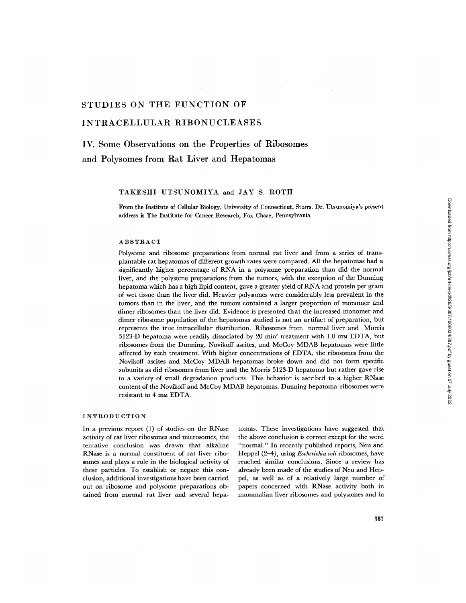# **STUDIES ON THE FUNCTION OF**

## **INTRACELLULAR RIBONUCLEASES**

# **IV. Some Observations on the Properties of Ribosomes and Polysomes from Rat Liver and Hepatomas**

## TAKESHI UTSUNOMIYA and JAY S. ROTH

From the Institute of Cellular Biology, University of Connecticut, Storrs. Dr. Utsunomiya's present address is The Institute for Cancer Research, Fox Chase, Pennsylvania

#### ABSTRACT

Polysome and ribosome preparations from normal rat liver and from a series of transplantable rat hepatomas of different growth rates were compared. All the hepatomas had a significantly higher percentage of RNA in a polysome preparation than did the normal liver, and the polysome preparations from the tumors, with the exception of the Dunning hepatoma which has a high lipid content, gave a greater yield of KNA and protein per gram of wet tissue than the liver did. Heavier polysomes were considerably less prevalent in the tumors than in the liver, and the tumors contained a larger proportion of monomer and dimer ribosomes than the liver did. Evidence is presented that the increased monomer and dimer ribosome population of the hepatomas studied is not an artifact of preparation, but represents the true intracellular distribution. Ribosomes from normal liver and Morris 5123-D hepatoma were readily dissociated by 20 min' treatment with 1.0 mM EDTA, but ribosomes from the Dunning, Novikoff ascites, and McCoy MDAB hepatomas were little affected by such treatment. With higher concentrations of EDTA, the ribosomes from the Novikoff ascites and McCoy MDAB hepatomas broke down and did not form specific subunits as did ribosomes from liver and the Morris 5123-D hepatoma but rather gave rise to a variety of small degradation products. This behavior is ascribed to a higher RNase content of the Novikoff and McCoy MDAB hepatomas. Dunning hepatoma ribosomes were resistant to 4 mm EDTA.

#### INTRODUCTION

In a previous report (1) of studies on the RNase activity of rat liver ribosomes and microsomes, the tentative conclusion was drawn that alkaline RNase is a normal constituent of rat liver ribosomes and plays a role in the biological activity of these particles. To establish or negate this conclusion, additional investigations have been carried out on ribosome and polysome preparations obtained from normal rat liver and several hepatomas. These investigations have suggested that the above conclusion is correct except for the word "normal." In recently published reports, Neu and Heppel (2-4), using *Escherichia coli* ribosomes, have reached similar conclusions. Since a review has already been made of the studies of Neu and Heppel, as well as of a relatively large number of papers concerned with RNase activity both in mammalian liver ribosomes and polysomes and in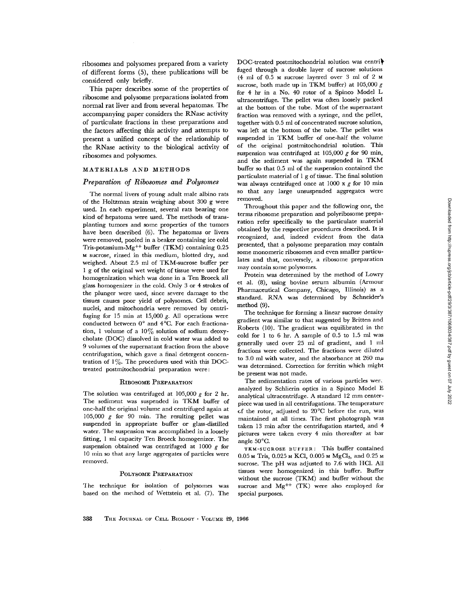ribosomes and polysomes prepared from a variety of different forms (5), these publications will be considered only briefly.

This paper describes some of the properties of ribosome and polysome preparations isolated from normal rat liver and from several hepatomas. The accompanying paper considers the RNase activity of particulate fractions in these preparations and the factors affecting this activity and attempts to present a unified concept of the relationship of the RNase activity to the biological activity of ribosomes and polysomes.

#### MATERIALS AND METHODS

#### *Preparation of Ribosomes and Polysomes*

The normal livers of young adult male albino rats of the Holtzman strain weighing about 300 g were used. In each experiment, several rats bearing one kind of' hcpatoma were used. The methods of transplanting tumors and some properties of the tumors have been described (6). The hepatomas or livers were removed, pooled in a beaker containing ice cold Tris-potassium-Mg<sup>++</sup> buffer (TKM) containing  $0.25$ M sucrose, rinsed in this medium, blotted dry, and weighed. About 2.5 ml of TKM-sucrose buffer per 1 g of the original wet weight of tissue were used for homogenization which was done in a Ten Broeck all glass homogenizer in the cold. Only 3 or 4 strokes of the plunger were used, since severe damage to the tissues causes poor yield of polysomes. Cell debris, nuclei, and mitochondria were removed by centrifuging for 15 min at 15,000  $g$ . All operations were conducted between  $0^{\circ}$  and  $4^{\circ}$ C. For each fractionation, 1 volume of a  $10\%$  solution of sodium deoxycholate (DOC) dissolved in cold water was added to 9 volumes of the supernatant fraction from the above centrifugation, which gave a final detergent concentration of  $1\%$ . The procedures used with this DOCtreated postmitochondrial preparation were:

#### RIBOSOME PREPARATION

The solution was centrifuged at  $105,000$  g for 2 hr. The sediment was suspended in TKM buffer of one-half the original volume and centrifuged again at 105,000  $g$  for 90 min. The resulting pellet was suspended in appropriate buffer or glass-distilled water. The suspension was accomplished in a loosely fitting, 1 ml capacity Ten Broeck homogenizer. The suspension obtained was centrifuged at 1000  $g$  for 10 min so that any large aggregates of particles were removed.

#### POLYSOME PREPARATION

The technique for isolation of polysomes was based on the meihod of Wettstein et al. (7). The DOC-treated postmitochondrial solution was centri $\}$ fuged through a double layer of sucrose solutions  $(4 \text{ ml of } 0.5 \text{ m success layered over } 3 \text{ ml of } 2 \text{ m})$ sucrose, both made up in TKM buffer) at  $105,000 g$ for 4 hr in a No. 40 rotor of a Spinco Model L ultracentrifuge. The pellet was often loosely packed at the bottom of the tube. Most of the supernatant fraction was removed with a syringe, and the pellet, together with 0.5 ml of concentrated sucrose solution, was left at the bottom of the tube. The pellet was suspended in TKM buffer of one-half the volume of the original postmitochondrial solution. This suspension was centrifuged at 105,000  $g$  for 90 min, and the sediment was again suspended in TKM buffer so that 0.5 ml of the suspension contained the particulate material of 1 g of tissue. The final solution was always centrifuged once at 1000 x  $g$  for 10 min so that any large unsuspended aggregates were removed.

Throughout this paper and the following one, the terms ribosome preparation and polyribosome preparation refer specifically to the particulate material obtained by the respective procedures described. It is recognized, and: indeed evident from the data presented, that a polysome preparation may contain some monomeric ribosomes and even smaller particulates and that, conversely, a ribosome preparation may contain some polysomes.

Protein was determined by the method of Lowry et al. (8), using bovine serum albumin (Armour Pharmaceutical Company, Chicago, Illinois) as a standard. RNA was determined by Schneider's method (9).

The technique for forming a linear sucrose density gradient was similar to that suggested by Britten and Roberts (10). The gradient was equilibrated in the cold for 1 to 6 hr. A sample of 0.5 to 1.5 ml was generally used over 25 ml of gradient, and 1 ml fractions were collected. The fractions were diluted to 3.0 ml with water, and the absorbance at 260 m $\mu$ was determined. Correction for ferritin which might be present was not made.

The sedimentation rates of various particles wer. analyzed by Schlierin optics in a Spinco Model E analytical ultracentrifuge. A standard 12 mm centerpiece was used in all centrifugations. The temperature of the rotor, adjusted to  $20^{\circ}$ C before the run, was maintained at all times. The first photograph was taken 13 min after the centrifugation started, and 4 pictures were taken every 4 min thereafter at bar angle 50°C.

TKM-SUCROSE BUFFER: This buffer contained  $0.05$  м Tris,  $0.025$  м KCl,  $0.005$  м MgCl<sub>2</sub>, and  $0.25$  м sucrose. The pH was adjusted to 7.6 with HC1. All tissues were homogenized, in this buffer. Buffer without the sucrose (TKM) and buffer without the sucrose and  $Mg^{++}$  (TK) were also employed for special purposes.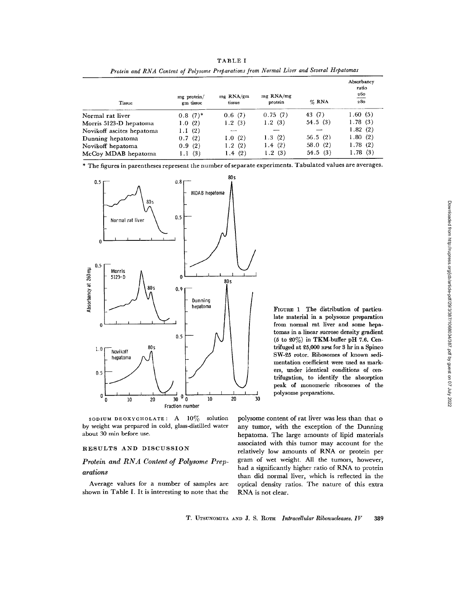| mg protein/<br>gm tissue | mg RNA/gm<br>tissue | mg RNA/mg<br>protein | $\%$ RNA | Absorbancy<br>ratio<br>$\frac{260}{280}$ |
|--------------------------|---------------------|----------------------|----------|------------------------------------------|
| $0.8(7)^*$               | 0.6(7)              | 0.75(7)              | 43(7)    | 1.60(5)                                  |
| 1.0(2)                   | 1.2(3)              | 1.2(3)               | 54.5(3)  | 1.78(3)                                  |
| 1.1(2)                   | $-$                 |                      |          | 1.82(2)                                  |
| 0.7(2)                   | 1.0(2)              | 1.3(2)               | 56.5(2)  | 1.80(2)                                  |
|                          | 1.2(2)              | 1.4(2)               | 58.0(2)  | 1.78(2)                                  |
| 1.1(3)                   | 1.4 $(2)$           | 1.2(3)               | 54.5(3)  | 1.78(3)                                  |
|                          | 0.9(2)              |                      |          |                                          |

TABLE I *Protein and RNA Content of Polysome Preparations from Normal Liver and Several Hepatomas*

\* The figures in parentheses represent the number of separate experiments. Tabulated values are averages.



SODIUM DEOXYCHOLATE:  $A$  10% solution by weight was prepared in cold, glass-distilled water about 30 min before use.

### RESULTS AND DISCUSSION

## *Protein and RNA Content of Polysome Preparations*

Average values for a number of samples are shown in Table I. It is interesting to note that the FIGURE 1 The distribution of particulate material in a polysome preparation from normal rat liver and some hepatomas in a linear sucrose density gradient (5 to  $20\%$ ) in TKM-buffer pH 7.6. Centrifuged at 25,000 RPM for 3 hr in a Spinco SW-25 rotor. Ribosomes of known sedimentation coefficient were used as markers, under identical conditions of centrifugation, to identify the absorption peak of monomeric ribosomes of the polysome preparations.

polysome content of rat liver was less than that o any tumor, with the exception of the Dunning hepatoma. The large amounts of lipid materials associated with this tumor may account for the relatively low amounts of RNA or protein per gram of wet weight. All the tumors, however, had a significantly higher ratio of RNA to protein than did normal liver, which is reflected in the optical density ratios. The nature of this extra RNA is not clear.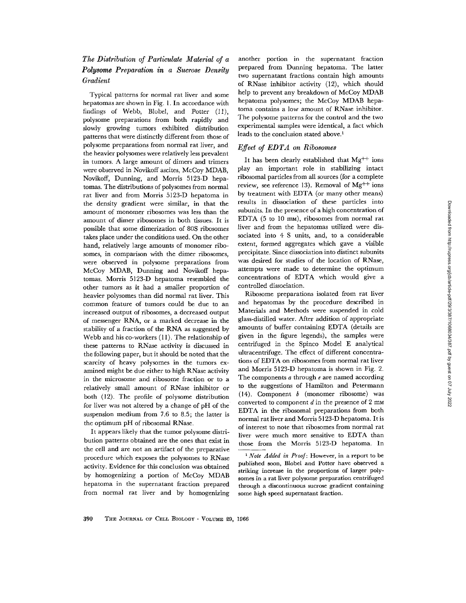# *The Distribution of Particulate Material of a Polysome Preparation in a Sucrose Density Gradient*

Typical patterns for normal rat liver and some hepatomas are shown in Fig. 1. In accordance with findings of Webb, Blobel, and Potter (11), polysome preparations from both rapidly and slowly growing tumors exhibited distribution patterns that were distinctly different from those of polysome preparations from normal rat liver, and the heavier polysomes were relatively less prevalent in tumors. A large amount of dimers and trimers were observed in Novikoff ascites, McCoy MDAB, Novikoff, Dunning, and Morris 5123-D hepatomas. The distributions of polysomes from normal rat liver and from Morris 5123-D hepatoma in the density gradient were similar, in that the amount of monomer ribosomes was less than the amount of dimer ribosomes in both tissues. It is possible that some dimerization of 80S ribosomes takes place under the conditions used. On the other hand, relatively large amounts of monomer ribosomes, in comparison with the dimer ribosomes, were observed in polysome preparations from McCoy MDAB, Dunning and Novikoff hepatomas. Morris 5123-D hepatoma resembled the other tumors as it had a smaller proportion of heavier polysomes than did normal rat liver. This common feature of tumors could be due to an increased output of ribosomes, a decreased output of messenger RNA, or a marked decrease in the stability of a fraction of the RNA as suggested by Webb and his co-workers (11). The relationship of these patterns to RNase activity is discussed in the following paper, but it should be noted that the scarcity of heavy polysomes in the tumors examined might be due either to high RNase activity in the microsome and ribosome fraction or to a relatively small amount of RNase inhibitor or both (12). The profile of polysome distribution for liver was not altered by a change of pH of the suspension medium from 7.6 to 8.5; the latter is the optimum pH of ribosomal RNase.

It appears likely that the tumor polysome distribution patterns obtained are the ones that exist in the cell and are not an artifact of the preparative procedure which exposes the polysomes to RNase activity. Evidence for this conclusion was obtained by homogenizing a portion of McCoy MDAB hepatoma in the supernatant fraction prepared from normal rat liver and by homogenizing another portion in the supernatant fraction prepared from Dunning hepatoma. The latter two supernatant fractions contain high amounts of RNase inhibitor activity (12), which should help to prevent any breakdown of McCoy MDAB hepatoma polysomes; the McCoy MDAB hepatoma contains a low amount of RNase inhibitor. The polysome patterns for the control and the two experimental samples were identical, a fact which leads to the conclusion stated above.<sup>1</sup>

#### *Effect of EDTA on Ribosomes*

It has been clearly established that Mg+<sup>+</sup> ions play an important role in stabilizing intact ribosomal particles from all sources (for a complete review, see reference 13). Removal of  $Mg^{++}$  ions by treatment with EDTA (or many other means) results in dissociation of these particles into subunits. In the presence of a high concentration of EDTA (5 to 10 mM), ribosomes from normal rat liver and from the hepatomas utilized were dissociated into 4 S units, and, to a considerable extent, formed aggregates which gave a visible precipitate. Since dissociation into distinct subunits was desired for studies of the location of RNase, attempts were made to determine the optimum concentrations of EDTA which would give a controlled dissociation.

Ribosome preparations isolated from rat liver and hepatomas by the procedure described in Materials and Methods were suspended in cold glass-distilled water. After addition of appropriate amounts of buffer containing EDTA (details are given in the figure legends), the samples were centrifuged in the Spinco Model E analytical ultracentrifuge. The effect of different concentrations of EDTA on ribosomes from normal rat liver and Morris 5123-D hepatoma is shown in Fig. 2. The components a through *e* are named according to the suggestions of Hamilton and Petermann  $(14)$ . Component b (monomer ribosome) was converted to component  $d$  in the presence of  $2 \text{ mm}$ EDTA in the ribosomal preparations from both normal rat liver and Morris 5123-D hepatoma. It is of interest to note that ribosomes from normal rat liver were much more sensitive to EDTA than those from the Morris 5123-D hepatoma. In

*I Note Added in Proof:* However, in a report to be published soon, Blobel and Potter have observed a striking increase in the proportions of larger polysomes in a rat liver polysome preparation centrifuged through a discontinuous sucrose gradient containing some high speed supernatant fraction.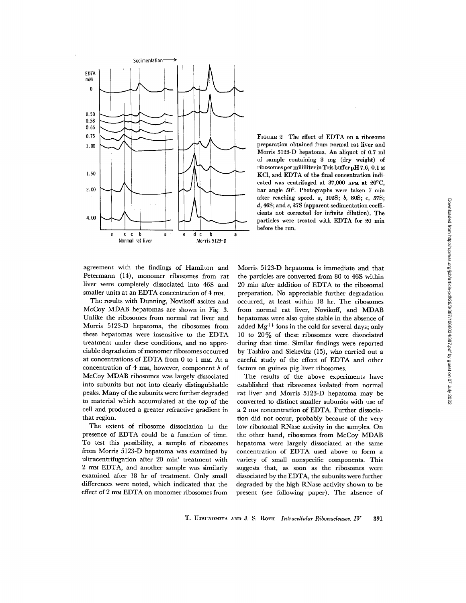

FIGURE 2 The effect of EDTA on a ribosome preparation obtained from normal rat liver and Morris 5123-D hepatoma. An aliquot of 0.7 ml of sample containing 3 mg (dry weight) of ribosomes per milliliter in Tris buffer pH 7.6, 0.1 M KC1, and EDTA of the final concentration indicated was centrifuged at  $37,000$  RPM at  $20^{\circ}$ C, bar angle 50°. Photographs were taken 7 min after reaching speed, a, 105S; b, 80S; c, 57S;  $d, 46S$ ; and  $e, 27S$  (apparent sedimentation coefficients not corrected for infinite dilution). The particles were treated with EDTA for 20 min before the run.

agreement with the findings of Hamilton and Petermann (14), monomer ribosomes from rat liver were completely dissociated into 46S and smaller units at an EDTA concentration of 4 mm.

The results with Dunning, Novikoff ascites and McCoy MDAB hepatomas are shown in Fig. 3. Unlike the ribosomes from normal rat liver and Morris 5123-D hepatoma, the ribosomes from these hepatomas were insensitive to the EDTA treatment under these conditions, and no appreciable degradation of monomer ribosomes occurred at concentrations of EDTA from 0 to 1 mM. At a concentration of  $4 \text{ mm}$ , however, component  $b$  of McCoy MDAB ribosomes was largely dissociated into subunits but not into clearly distinguishable peaks. Many of the subunits were further degraded to material which accumulated at the top of the cell and produced a greater refractive gradient in that region.

The extent of ribosome dissociation in the presence of EDTA could be a function of time. To test this possibility, a sample of ribosomes from Morris 5123-D hepatoma was examined by ultracentrifugation after 20 min' treatment with 2 mM EDTA, and another sample was similarly examined after 18 hr of treatment. Only small differences were noted, which indicated that the effect of 2 mm EDTA on monomer ribosomes from Morris 5123-D hepatoma is immediate and that the particles are converted from 80 to 46S within 20 min after addition of EDTA to the ribosomal preparation. No appreciable further degradation occurred, at least within 18 hr. The ribosomes from normal rat liver, Novikoff, and MDAB hepatomas were also quite stable in the absence of added  $Mg^{++}$  ions in the cold for several days; only 10 to 20% of these ribosomes were dissociated during that time. Similar findings were reported by Tashiro and Siekevitz (15), who carried out a careful study of the effect of EDTA and other factors on guinea pig liver ribosomes.

The results of the above experiments have established that ribosomes isolated from normal rat liver and Morris 5123-D hepatoma may be converted to distinct smaller subunits with use of a 2 mm concentration of EDTA. Further dissociation did not occur, probably because of the very low ribosomal RNase activity in the samples. On the other hand, ribosomes from McCoy MDAB hepatoma were largely dissociated at the same concentration of EDTA used above to form a variety of small nonspecific components. This suggests that, as soon as the ribosomes were dissociated by the EDTA, the subunits were further degraded by the high RNase activity shown to be present (see following paper). The absence of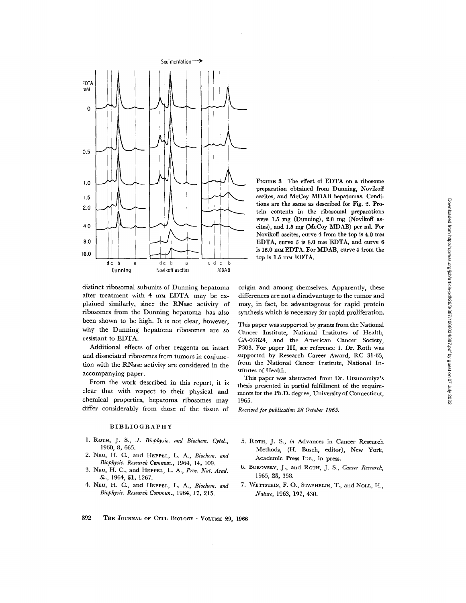

FIGURE 3 The effect of EDTA on a ribosome preparation obtained from Dunning, Novikoff aseites, and McCoy MDAB hepatomas. Conditions are the same as described for Fig. £. Protein contents in the ribosomal preparations were  $1.5$  mg (Dunning),  $2.0$  mg (Novikoff ascites), and 1.5 mg (McCoy MDAB) per ml. For Novikoff ascites, curve 4 from the top is 4.0 mM EDTA, curve  $5$  is  $8.0$  mm EDTA, and curve  $6$ is 16.0 mM EDTA. For MDAB, curve 4 from the top is 1.5 mm EDTA.

distinct ribosomal subunits of Dunning hepatoma after treatment with 4 mm EDTA may be explained similarly, since the RNase activity of ribosomes from the Dunning hepatoma has also been shown to be high. It is not clear, however, why the Dunning hepatoma ribosomes are so resistant to EDTA.

Additional effects of other reagents on intact and dissociated ribosomes from tumors in conjunction with the RNase activity are considered in the accompanying paper.

From the work described in this report, it is clear that with respect to their physical and chemical properties, hepatoma ribosomes may differ considerably from those of the tissue of

## BIBLIOGRAPHY

- !. ROTH, J. S., J. *Biophysic. and Biochem. Cytol.,*  1960, 8, 665.
- 2. NEU, H. C., and HEPPEL, L. A., *Biochera. and Biophysic. Research Commun.,* 1964, 14, 109.
- 3. NEU, H. C., and HEPPEL, L. A., *Proc. Nat. Acad. So.,* 1964, 51, *1267.*
- 4. NEU, H. C., and HEPPEL, L. A., *Biochem. and Biophysic. Research Commun.,* 1964, 17, 215.

origin and among themselves. Apparently, these differences are not a disadvantage to the tumor and may, in fact, be advantageous for rapid protein synthesis which is necessary for rapid proliferation.

This paper was supported by grants from the National Cancer Institute, National Institutes of Health, CA-07824, and the American Cancer Society, P303. For paper III, see reference 1. Dr. Roth was supported by Research Career Award, RC 31-63, from the National Cancer Institute, National Institutes of Health.

This paper was abstracted from Dr. Utsunomiya's thesis presented in partial fulfillment of the requirements for the Ph.D. degree, University of Connecticut, 1965.

*Received for publication 28 October 1965.* 

- 5. ROTH, J. S., in Advances in Cancer Research Methods, (H. Busch, editor), New York, Academic Press Inc., in press.
- 6. BUKOVSKY, J., and ROTH, J. S., *Cancer Research,*  1965, 25, 358.
- 7. WETTSTEIN, F. O., STAEHELIN, T., and NOLL, H., *Nature,* 1963, 197, 430.

392 THE JOURNAL OF CELL BIOLOGY · VOLUME 29, 1966